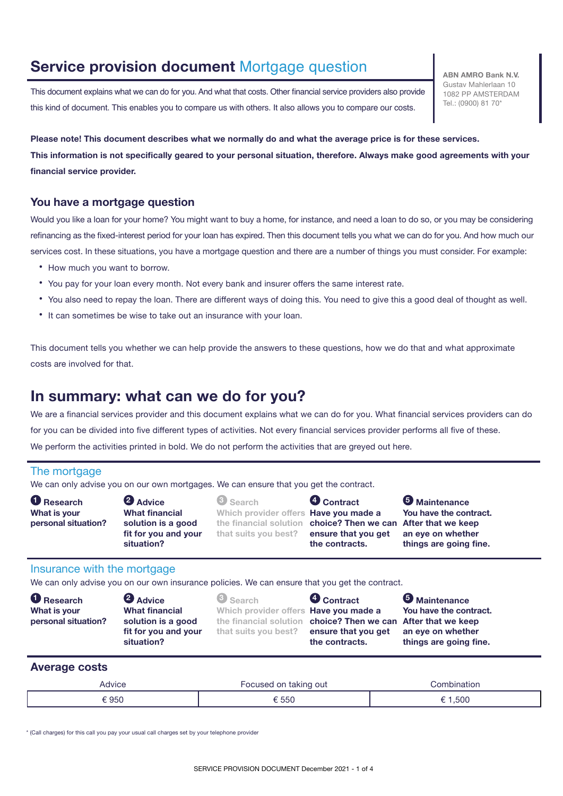### **Service provision document** Mortgage question **ABN AMRO Bank N.V.**

This document explains what we can do for you. And what that costs. Other financial service providers also provide this kind of document. This enables you to compare us with others. It also allows you to compare our costs.

Gustav Mahlerlaan 10 1082 PP AMSTERDAM Tel.: (0900) 81 70\*

**Please note! This document describes what we normally do and what the average price is for these services. This information is not specifically geared to your personal situation, therefore. Always make good agreements with your financial service provider.**

#### **You have a mortgage question**

Would you like a loan for your home? You might want to buy a home, for instance, and need a loan to do so, or you may be considering refinancing as the fixed-interest period for your loan has expired. Then this document tells you what we can do for you. And how much our services cost. In these situations, you have a mortgage question and there are a number of things you must consider. For example:

- How much you want to borrow.
- You pay for your loan every month. Not every bank and insurer offers the same interest rate.
- You also need to repay the loan. There are different ways of doing this. You need to give this a good deal of thought as well.
- It can sometimes be wise to take out an insurance with your loan.

This document tells you whether we can help provide the answers to these questions, how we do that and what approximate costs are involved for that.

### **In summary: what can we do for you?**

We are a financial services provider and this document explains what we can do for you. What financial services providers can do for you can be divided into five different types of activities. Not every financial services provider performs all five of these. We perform the activities printed in bold. We do not perform the activities that are greyed out here.

#### The mortgage

We can only advise you on our own mortgages. We can ensure that you get the contract.

| <b>O</b> Research<br>What is your<br>personal situation? | <b>2</b> Advice<br><b>What financial</b><br>solution is a good | <b>6</b> Search<br>Which provider offers Have you made a<br>the financial solution choice? Then we can After that we keep | <b>4</b> Contract                     | <b>5</b> Maintenance<br>You have the contract. |
|----------------------------------------------------------|----------------------------------------------------------------|---------------------------------------------------------------------------------------------------------------------------|---------------------------------------|------------------------------------------------|
|                                                          | fit for you and your<br>situation?                             | that suits you best?                                                                                                      | ensure that you get<br>the contracts. | an eye on whether<br>things are going fine.    |

#### Insurance with the mortgage

We can only advise you on our own insurance policies. We can ensure that you get the contract.

| <b>O</b> Research   | <b>2</b> Advice                    | <b>3</b> Search                                               | <b>O</b> Contract                     | <b>5</b> Maintenance                        |
|---------------------|------------------------------------|---------------------------------------------------------------|---------------------------------------|---------------------------------------------|
| What is your        | <b>What financial</b>              | Which provider offers <b>Have you made a</b>                  |                                       | You have the contract.                      |
| personal situation? | solution is a good                 | the financial solution choice? Then we can After that we keep |                                       |                                             |
|                     | fit for you and your<br>situation? | that suits you best?                                          | ensure that you get<br>the contracts. | an eye on whether<br>things are going fine. |

#### **Average costs**

| Advice | Focused on taking out | `ombination |  |
|--------|-----------------------|-------------|--|
| 950    | 550                   | .500        |  |

\* (Call charges) for this call you pay your usual call charges set by your telephone provider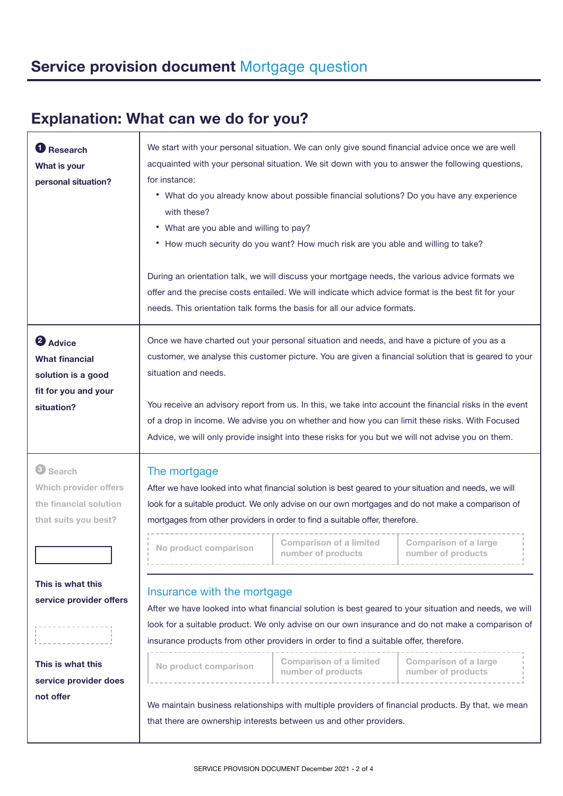# **Explanation: What can we do for you?**

| <b>Research</b><br>What is your<br>personal situation?                                               | We start with your personal situation. We can only give sound financial advice once we are well<br>acquainted with your personal situation. We sit down with you to answer the following questions,<br>for instance:<br>• What do you already know about possible financial solutions? Do you have any experience<br>with these?<br>• What are you able and willing to pay?<br>• How much security do you want? How much risk are you able and willing to take?<br>During an orientation talk, we will discuss your mortgage needs, the various advice formats we<br>offer and the precise costs entailed. We will indicate which advice format is the best fit for your<br>needs. This orientation talk forms the basis for all our advice formats. |  |  |  |  |
|------------------------------------------------------------------------------------------------------|------------------------------------------------------------------------------------------------------------------------------------------------------------------------------------------------------------------------------------------------------------------------------------------------------------------------------------------------------------------------------------------------------------------------------------------------------------------------------------------------------------------------------------------------------------------------------------------------------------------------------------------------------------------------------------------------------------------------------------------------------|--|--|--|--|
| <b>2</b> Advice<br><b>What financial</b><br>solution is a good<br>fit for you and your<br>situation? | Once we have charted out your personal situation and needs, and have a picture of you as a<br>customer, we analyse this customer picture. You are given a financial solution that is geared to your<br>situation and needs.<br>You receive an advisory report from us. In this, we take into account the financial risks in the event<br>of a drop in income. We advise you on whether and how you can limit these risks. With Focused<br>Advice, we will only provide insight into these risks for you but we will not advise you on them.                                                                                                                                                                                                          |  |  |  |  |
| <sup>3</sup> Search<br>Which provider offers<br>the financial solution<br>that suits you best?       | The mortgage<br>After we have looked into what financial solution is best geared to your situation and needs, we will<br>look for a suitable product. We only advise on our own mortgages and do not make a comparison of<br>mortgages from other providers in order to find a suitable offer, therefore.<br><b>Comparison of a limited</b><br><b>Comparison of a large</b><br>No product comparison<br>number of products<br>number of products                                                                                                                                                                                                                                                                                                     |  |  |  |  |
| This is what this<br>service provider offers<br>This is what this                                    | Insurance with the mortgage<br>After we have looked into what financial solution is best geared to your situation and needs, we will<br>look for a suitable product. We only advise on our own insurance and do not make a comparison of<br>insurance products from other providers in order to find a suitable offer, therefore.<br><b>Comparison of a limited</b><br><b>Comparison of a large</b><br>No product comparison<br>number of products<br>number of products<br>We maintain business relationships with multiple providers of financial products. By that, we mean<br>that there are ownership interests between us and other providers.                                                                                                 |  |  |  |  |
| service provider does<br>not offer                                                                   |                                                                                                                                                                                                                                                                                                                                                                                                                                                                                                                                                                                                                                                                                                                                                      |  |  |  |  |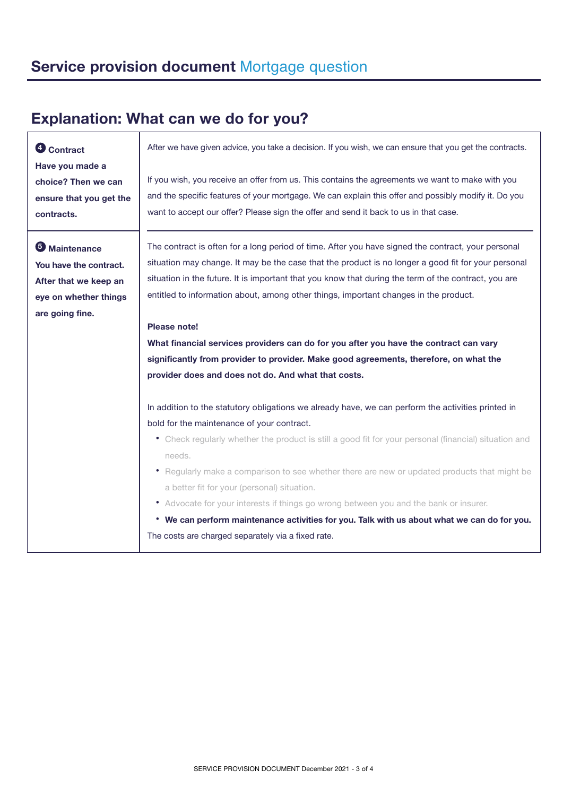# **Explanation: What can we do for you?**

| <b>O</b> Contract       | After we have given advice, you take a decision. If you wish, we can ensure that you get the contracts. |  |  |  |  |
|-------------------------|---------------------------------------------------------------------------------------------------------|--|--|--|--|
| Have you made a         |                                                                                                         |  |  |  |  |
| choice? Then we can     | If you wish, you receive an offer from us. This contains the agreements we want to make with you        |  |  |  |  |
| ensure that you get the | and the specific features of your mortgage. We can explain this offer and possibly modify it. Do you    |  |  |  |  |
| contracts.              | want to accept our offer? Please sign the offer and send it back to us in that case.                    |  |  |  |  |
|                         |                                                                                                         |  |  |  |  |
| <b>5</b> Maintenance    | The contract is often for a long period of time. After you have signed the contract, your personal      |  |  |  |  |
| You have the contract.  | situation may change. It may be the case that the product is no longer a good fit for your personal     |  |  |  |  |
| After that we keep an   | situation in the future. It is important that you know that during the term of the contract, you are    |  |  |  |  |
| eye on whether things   | entitled to information about, among other things, important changes in the product.                    |  |  |  |  |
| are going fine.         |                                                                                                         |  |  |  |  |
|                         | Please note!                                                                                            |  |  |  |  |
|                         | What financial services providers can do for you after you have the contract can vary                   |  |  |  |  |
|                         | significantly from provider to provider. Make good agreements, therefore, on what the                   |  |  |  |  |
|                         | provider does and does not do. And what that costs.                                                     |  |  |  |  |
|                         |                                                                                                         |  |  |  |  |
|                         | In addition to the statutory obligations we already have, we can perform the activities printed in      |  |  |  |  |
|                         | bold for the maintenance of your contract.                                                              |  |  |  |  |
|                         | • Check regularly whether the product is still a good fit for your personal (financial) situation and   |  |  |  |  |
|                         | needs.                                                                                                  |  |  |  |  |
|                         | • Regularly make a comparison to see whether there are new or updated products that might be            |  |  |  |  |
|                         | a better fit for your (personal) situation.                                                             |  |  |  |  |
|                         | • Advocate for your interests if things go wrong between you and the bank or insurer.                   |  |  |  |  |
|                         | • We can perform maintenance activities for you. Talk with us about what we can do for you.             |  |  |  |  |
|                         | The costs are charged separately via a fixed rate.                                                      |  |  |  |  |
|                         |                                                                                                         |  |  |  |  |